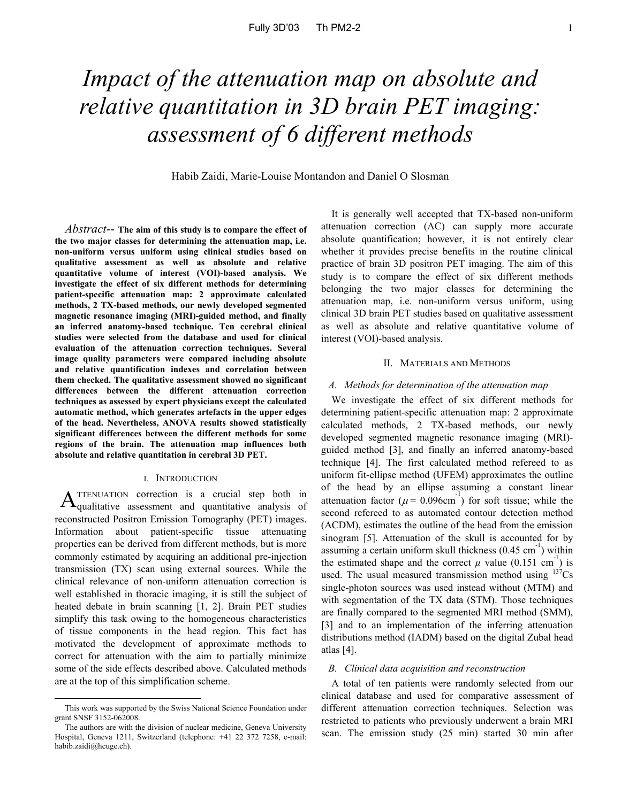# *Impact of the attenuation map on absolute and relative quantitation in 3D brain PET imaging: assessment of 6 different methods*

Habib Zaidi, Marie-Louise Montandon and Daniel O Slosman

*Abstract*-- **The aim of this study is to compare the effect of the two major classes for determining the attenuation map, i.e. non-uniform versus uniform using clinical studies based on qualitative assessment as well as absolute and relative quantitative volume of interest (VOI)-based analysis. We investigate the effect of six different methods for determining patient-specific attenuation map: 2 approximate calculated methods, 2 TX-based methods, our newly developed segmented magnetic resonance imaging (MRI)-guided method, and finally an inferred anatomy-based technique. Ten cerebral clinical studies were selected from the database and used for clinical evaluation of the attenuation correction techniques. Several image quality parameters were compared including absolute and relative quantification indexes and correlation between them checked. The qualitative assessment showed no significant differences between the different attenuation correction techniques as assessed by expert physicians except the calculated automatic method, which generates artefacts in the upper edges of the head. Nevertheless, ANOVA results showed statistically significant differences between the different methods for some regions of the brain. The attenuation map influences both absolute and relative quantitation in cerebral 3D PET.**

#### I. INTRODUCTION

A TTENUATION correction is a crucial step both in <br> **A**qualitative assessment and quantitative analysis of reconstructed Positron Emission Tomography (PET) images. Information about patient-specific tissue attenuating properties can be derived from different methods, but is more commonly estimated by acquiring an additional pre-injection transmission (TX) scan using external sources. While the clinical relevance of non-uniform attenuation correction is well established in thoracic imaging, it is still the subject of heated debate in brain scanning [1, 2]. Brain PET studies simplify this task owing to the homogeneous characteristics of tissue components in the head region. This fact has motivated the development of approximate methods to correct for attenuation with the aim to partially minimize some of the side effects described above. Calculated methods are at the top of this simplification scheme.

It is generally well accepted that TX-based non-uniform attenuation correction (AC) can supply more accurate absolute quantification; however, it is not entirely clear whether it provides precise benefits in the routine clinical practice of brain 3D positron PET imaging. The aim of this study is to compare the effect of six different methods belonging the two major classes for determining the attenuation map, i.e. non-uniform versus uniform, using clinical 3D brain PET studies based on qualitative assessment as well as absolute and relative quantitative volume of interest (VOI)-based analysis.

## II. MATERIALS AND METHODS

## *A. Methods for determination of the attenuation map*

We investigate the effect of six different methods for determining patient-specific attenuation map: 2 approximate calculated methods, 2 TX-based methods, our newly developed segmented magnetic resonance imaging (MRI) guided method [3], and finally an inferred anatomy-based technique [4]. The first calculated method refereed to as uniform fit-ellipse method (UFEM) approximates the outline of the head by an ellipse assuming a constant linear attenuation factor  $(\mu = 0.096 \text{cm}^{-1})$  for soft tissue; while the second refereed to as automated contour detection method (ACDM), estimates the outline of the head from the emission sinogram [5]. Attenuation of the skull is accounted for by assuming a certain uniform skull thickness  $(0.45 \text{ cm}^{-1})$  within the estimated shape and the correct  $\mu$  value (0.151 cm<sup>-1</sup>) is used. The usual measured transmission method using  $137Cs$ single-photon sources was used instead without (MTM) and with segmentation of the TX data (STM). Those techniques are finally compared to the segmented MRI method (SMM), [3] and to an implementation of the inferring attenuation distributions method (IADM) based on the digital Zubal head atlas [4].

#### *B. Clinical data acquisition and reconstruction*

A total of ten patients were randomly selected from our clinical database and used for comparative assessment of different attenuation correction techniques. Selection was restricted to patients who previously underwent a brain MRI scan. The emission study (25 min) started 30 min after

This work was supported by the Swiss National Science Foundation under grant SNSF 3152-062008.

The authors are with the division of nuclear medicine, Geneva University Hospital, Geneva 1211, Switzerland (telephone: +41 22 372 7258, e-mail: habib.zaidi@hcuge.ch).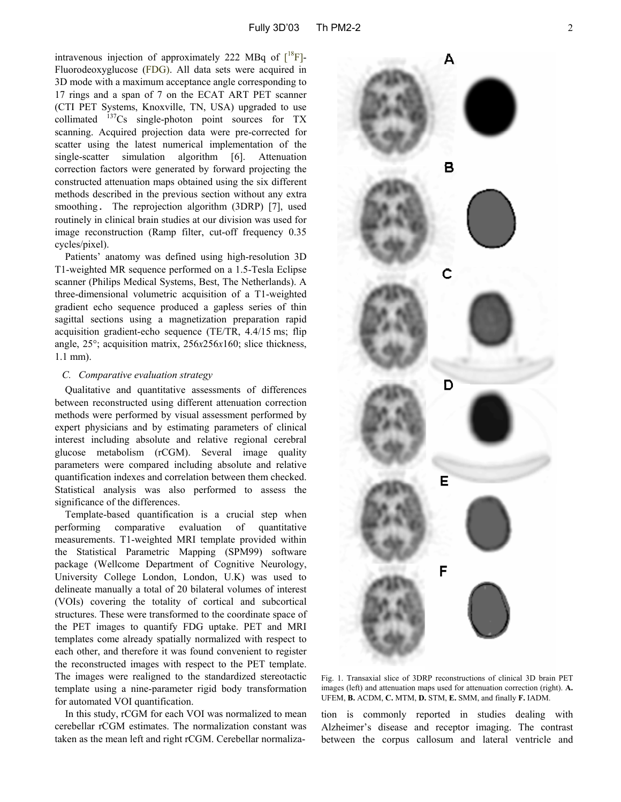intravenous injection of approximately 222 MBq of  $\lceil {^{18}F} \rceil$ -Fluorodeoxyglucose (FDG). All data sets were acquired in 3D mode with a maximum acceptance angle corresponding to 17 rings and a span of 7 on the ECAT ART PET scanner (CTI PET Systems, Knoxville, TN, USA) upgraded to use collimated  $137Cs$  single-photon point sources for TX scanning. Acquired projection data were pre-corrected for scatter using the latest numerical implementation of the single-scatter simulation algorithm [6]. Attenuation correction factors were generated by forward projecting the constructed attenuation maps obtained using the six different methods described in the previous section without any extra smoothing. The reprojection algorithm (3DRP) [7], used routinely in clinical brain studies at our division was used for image reconstruction (Ramp filter, cut-off frequency 0.35 cycles/pixel).

Patients' anatomy was defined using high-resolution 3D T1-weighted MR sequence performed on a 1.5-Tesla Eclipse scanner (Philips Medical Systems, Best, The Netherlands). A three-dimensional volumetric acquisition of a T1-weighted gradient echo sequence produced a gapless series of thin sagittal sections using a magnetization preparation rapid acquisition gradient-echo sequence (TE/TR, 4.4/15 ms; flip angle, 25°; acquisition matrix, 256*x*256*x*160; slice thickness, 1.1 mm).

## *C. Comparative evaluation strategy*

Qualitative and quantitative assessments of differences between reconstructed using different attenuation correction methods were performed by visual assessment performed by expert physicians and by estimating parameters of clinical interest including absolute and relative regional cerebral glucose metabolism (rCGM). Several image quality parameters were compared including absolute and relative quantification indexes and correlation between them checked. Statistical analysis was also performed to assess the significance of the differences.

Template-based quantification is a crucial step when performing comparative evaluation of quantitative measurements. T1-weighted MRI template provided within the Statistical Parametric Mapping (SPM99) software package (Wellcome Department of Cognitive Neurology, University College London, London, U.K) was used to delineate manually a total of 20 bilateral volumes of interest (VOIs) covering the totality of cortical and subcortical structures. These were transformed to the coordinate space of the PET images to quantify FDG uptake. PET and MRI templates come already spatially normalized with respect to each other, and therefore it was found convenient to register the reconstructed images with respect to the PET template. The images were realigned to the standardized stereotactic template using a nine-parameter rigid body transformation for automated VOI quantification.

In this study, rCGM for each VOI was normalized to mean cerebellar rCGM estimates. The normalization constant was taken as the mean left and right rCGM. Cerebellar normaliza-



Fig. 1. Transaxial slice of 3DRP reconstructions of clinical 3D brain PET images (left) and attenuation maps used for attenuation correction (right). **A.** UFEM, **B.** ACDM, **C.** MTM, **D.** STM, **E.** SMM, and finally **F.** IADM.

tion is commonly reported in studies dealing with Alzheimer's disease and receptor imaging. The contrast between the corpus callosum and lateral ventricle and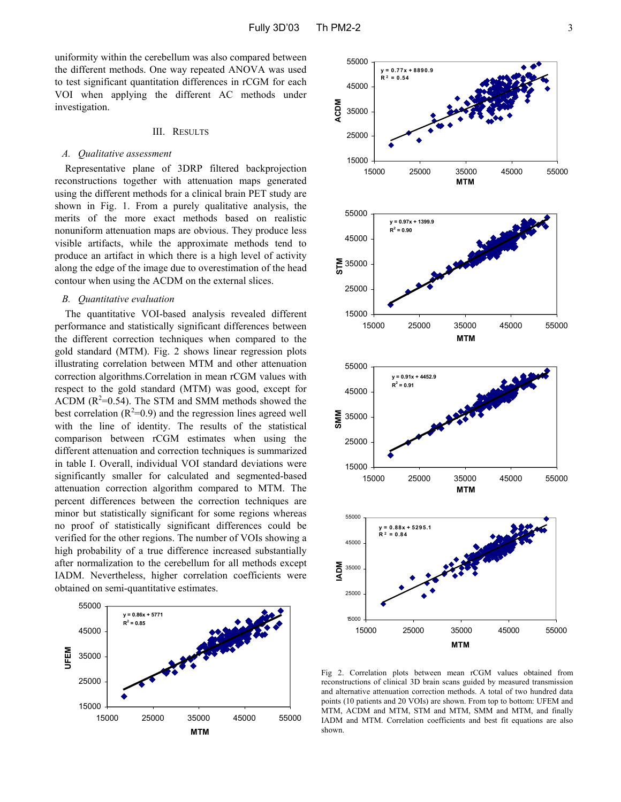uniformity within the cerebellum was also compared between the different methods. One way repeated ANOVA was used to test significant quantitation differences in rCGM for each VOI when applying the different AC methods under investigation.

## III. RESULTS

#### *A. Qualitative assessment*

Representative plane of 3DRP filtered backprojection reconstructions together with attenuation maps generated using the different methods for a clinical brain PET study are shown in Fig. 1. From a purely qualitative analysis, the merits of the more exact methods based on realistic nonuniform attenuation maps are obvious. They produce less visible artifacts, while the approximate methods tend to produce an artifact in which there is a high level of activity along the edge of the image due to overestimation of the head contour when using the ACDM on the external slices.

#### *B. Quantitative evaluation*

The quantitative VOI-based analysis revealed different performance and statistically significant differences between the different correction techniques when compared to the gold standard (MTM). Fig. 2 shows linear regression plots illustrating correlation between MTM and other attenuation correction algorithms.Correlation in mean rCGM values with respect to the gold standard (MTM) was good, except for ACDM ( $R^2$ =0.54). The STM and SMM methods showed the best correlation  $(R^2=0.9)$  and the regression lines agreed well with the line of identity. The results of the statistical comparison between rCGM estimates when using the different attenuation and correction techniques is summarized in table I. Overall, individual VOI standard deviations were significantly smaller for calculated and segmented-based attenuation correction algorithm compared to MTM. The percent differences between the correction techniques are minor but statistically significant for some regions whereas no proof of statistically significant differences could be verified for the other regions. The number of VOIs showing a high probability of a true difference increased substantially after normalization to the cerebellum for all methods except IADM. Nevertheless, higher correlation coefficients were obtained on semi-quantitative estimates.





Fig 2. Correlation plots between mean rCGM values obtained from reconstructions of clinical 3D brain scans guided by measured transmission and alternative attenuation correction methods. A total of two hundred data points (10 patients and 20 VOIs) are shown. From top to bottom: UFEM and MTM, ACDM and MTM, STM and MTM, SMM and MTM, and finally IADM and MTM. Correlation coefficients and best fit equations are also shown.